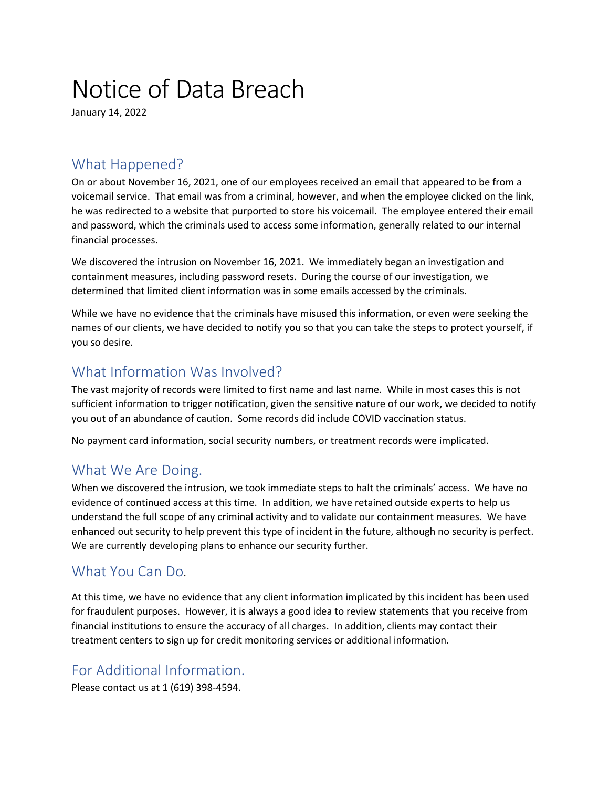# Notice of Data Breach

January 14, 2022

## What Happened?

On or about November 16, 2021, one of our employees received an email that appeared to be from a voicemail service. That email was from a criminal, however, and when the employee clicked on the link, he was redirected to a website that purported to store his voicemail. The employee entered their email and password, which the criminals used to access some information, generally related to our internal financial processes.

We discovered the intrusion on November 16, 2021. We immediately began an investigation and containment measures, including password resets. During the course of our investigation, we determined that limited client information was in some emails accessed by the criminals.

While we have no evidence that the criminals have misused this information, or even were seeking the names of our clients, we have decided to notify you so that you can take the steps to protect yourself, if you so desire.

# What Information Was Involved?

The vast majority of records were limited to first name and last name. While in most cases this is not sufficient information to trigger notification, given the sensitive nature of our work, we decided to notify you out of an abundance of caution. Some records did include COVID vaccination status.

No payment card information, social security numbers, or treatment records were implicated.

#### What We Are Doing.

When we discovered the intrusion, we took immediate steps to halt the criminals' access. We have no evidence of continued access at this time. In addition, we have retained outside experts to help us understand the full scope of any criminal activity and to validate our containment measures. We have enhanced out security to help prevent this type of incident in the future, although no security is perfect. We are currently developing plans to enhance our security further.

#### What You Can Do.

At this time, we have no evidence that any client information implicated by this incident has been used for fraudulent purposes. However, it is always a good idea to review statements that you receive from financial institutions to ensure the accuracy of all charges. In addition, clients may contact their treatment centers to sign up for credit monitoring services or additional information.

## For Additional Information.

Please contact us at 1 (619) 398-4594.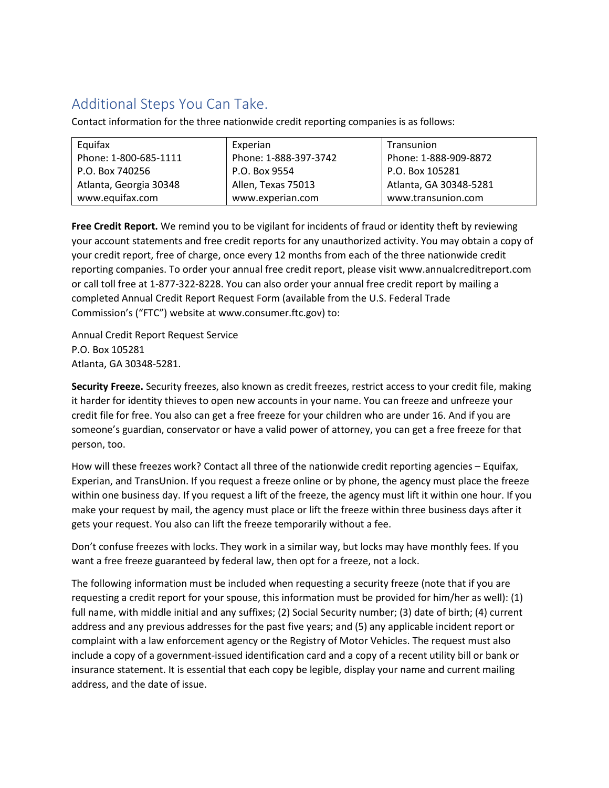# Additional Steps You Can Take.

Contact information for the three nationwide credit reporting companies is as follows:

| Equifax                | Experian              | Transunion             |
|------------------------|-----------------------|------------------------|
| Phone: 1-800-685-1111  | Phone: 1-888-397-3742 | Phone: 1-888-909-8872  |
| P.O. Box 740256        | P.O. Box 9554         | P.O. Box 105281        |
| Atlanta, Georgia 30348 | Allen, Texas 75013    | Atlanta, GA 30348-5281 |
| www.equifax.com        | www.experian.com      | www.transunion.com     |

**Free Credit Report.** We remind you to be vigilant for incidents of fraud or identity theft by reviewing your account statements and free credit reports for any unauthorized activity. You may obtain a copy of your credit report, free of charge, once every 12 months from each of the three nationwide credit reporting companies. To order your annual free credit report, please visit www.annualcreditreport.com or call toll free at 1-877-322-8228. You can also order your annual free credit report by mailing a completed Annual Credit Report Request Form (available from the U.S. Federal Trade Commission's ("FTC") website at www.consumer.ftc.gov) to:

Annual Credit Report Request Service P.O. Box 105281 Atlanta, GA 30348-5281.

**Security Freeze.** Security freezes, also known as credit freezes, restrict access to your credit file, making it harder for identity thieves to open new accounts in your name. You can freeze and unfreeze your credit file for free. You also can get a free freeze for your children who are under 16. And if you are someone's guardian, conservator or have a valid power of attorney, you can get a free freeze for that person, too.

How will these freezes work? Contact all three of the nationwide credit reporting agencies – Equifax, Experian, and TransUnion. If you request a freeze online or by phone, the agency must place the freeze within one business day. If you request a lift of the freeze, the agency must lift it within one hour. If you make your request by mail, the agency must place or lift the freeze within three business days after it gets your request. You also can lift the freeze temporarily without a fee.

Don't confuse freezes with locks. They work in a similar way, but locks may have monthly fees. If you want a free freeze guaranteed by federal law, then opt for a freeze, not a lock.

The following information must be included when requesting a security freeze (note that if you are requesting a credit report for your spouse, this information must be provided for him/her as well): (1) full name, with middle initial and any suffixes; (2) Social Security number; (3) date of birth; (4) current address and any previous addresses for the past five years; and (5) any applicable incident report or complaint with a law enforcement agency or the Registry of Motor Vehicles. The request must also include a copy of a government-issued identification card and a copy of a recent utility bill or bank or insurance statement. It is essential that each copy be legible, display your name and current mailing address, and the date of issue.